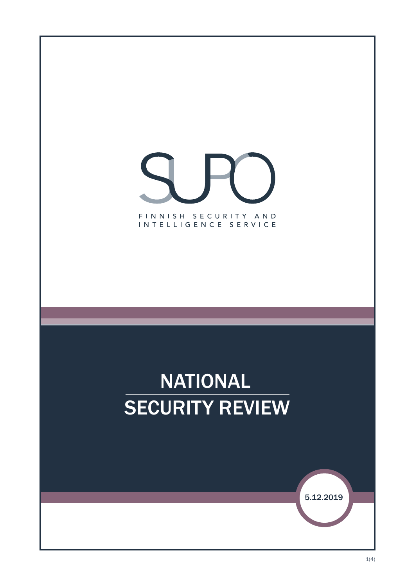





 $1(4)$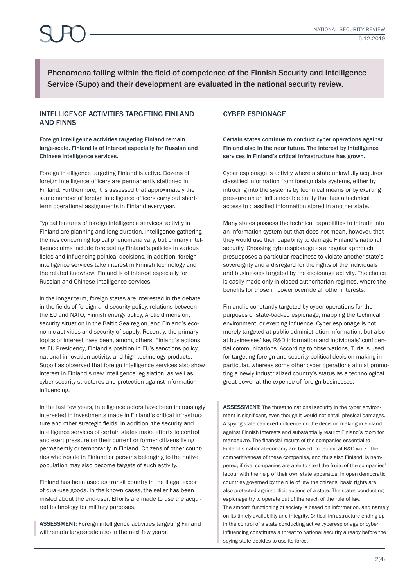Phenomena falling within the field of competence of the Finnish Security and Intelligence Service (Supo) and their development are evaluated in the national security review.

### INTELLIGENCE ACTIVITIES TARGETING FINLAND AND FINNS

Foreign intelligence activities targeting Finland remain large-scale. Finland is of interest especially for Russian and Chinese intelligence services.

Foreign intelligence targeting Finland is active. Dozens of foreign intelligence officers are permanently stationed in Finland. Furthermore, it is assessed that approximately the same number of foreign intelligence officers carry out shortterm operational assignments in Finland every year.

Typical features of foreign intelligence services' activity in Finland are planning and long duration. Intelligence-gathering themes concerning topical phenomena vary, but primary intelligence aims include forecasting Finland's policies in various fields and influencing political decisions. In addition, foreign intelligence services take interest in Finnish technology and the related knowhow. Finland is of interest especially for Russian and Chinese intelligence services.

In the longer term, foreign states are interested in the debate in the fields of foreign and security policy, relations between the EU and NATO, Finnish energy policy, Arctic dimension, security situation in the Baltic Sea region, and Finland's economic activities and security of supply. Recently, the primary topics of interest have been, among others, Finland's actions as EU Presidency, Finland's position in EU's sanctions policy, national innovation activity, and high technology products. Supo has observed that foreign intelligence services also show interest in Finland's new intelligence legislation, as well as cyber security structures and protection against information influencing.

In the last few years, intelligence actors have been increasingly interested in investments made in Finland's critical infrastructure and other strategic fields. In addition, the security and intelligence services of certain states make efforts to control and exert pressure on their current or former citizens living permanently or temporarily in Finland. Citizens of other countries who reside in Finland or persons belonging to the native population may also become targets of such activity.

Finland has been used as transit country in the illegal export of dual-use goods. In the known cases, the seller has been misled about the end-user. Efforts are made to use the acquired technology for military purposes.

ASSESSMENT: Foreign intelligence activities targeting Finland will remain large-scale also in the next few years.

## CYBER ESPIONAGE

### Certain states continue to conduct cyber operations against Finland also in the near future. The interest by intelligence services in Finland's critical infrastructure has grown.

Cyber espionage is activity where a state unlawfully acquires classified information from foreign data systems, either by intruding into the systems by technical means or by exerting pressure on an influenceable entity that has a technical access to classified information stored in another state.

Many states possess the technical capabilities to intrude into an information system but that does not mean, however, that they would use their capability to damage Finland's national security. Choosing cyberespionage as a regular approach presupposes a particular readiness to violate another state's sovereignty and a disregard for the rights of the individuals and businesses targeted by the espionage activity. The choice is easily made only in closed authoritarian regimes, where the benefits for those in power override all other interests.

Finland is constantly targeted by cyber operations for the purposes of state-backed espionage, mapping the technical environment, or exerting influence. Cyber espionage is not merely targeted at public administration information, but also at businesses' key R&D information and individuals' confidential communications. According to observations, Turla is used for targeting foreign and security political decision-making in particular, whereas some other cyber operations aim at promoting a newly industrialized country's status as a technological great power at the expense of foreign businesses.

ASSESSMENT: The threat to national security in the cyber environment is significant, even though it would not entail physical damages. A spying state can exert influence on the decision-making in Finland against Finnish interests and substantially restrict Finland's room for manoeuvre. The financial results of the companies essential to Finland's national economy are based on technical R&D work. The competitiveness of these companies, and thus also Finland, is hampered, if rival companies are able to steal the fruits of the companies' labour with the help of their own state apparatus. In open democratic countries governed by the rule of law the citizens' basic rights are also protected against illicit actions of a state. The states conducting espionage try to operate out of the reach of the rule of law. The smooth functioning of society is based on information, and namely on its timely availability and integrity. Critical infrastructure ending up in the control of a state conducting active cyberespionage or cyber influencing constitutes a threat to national security already before the spying state decides to use its force.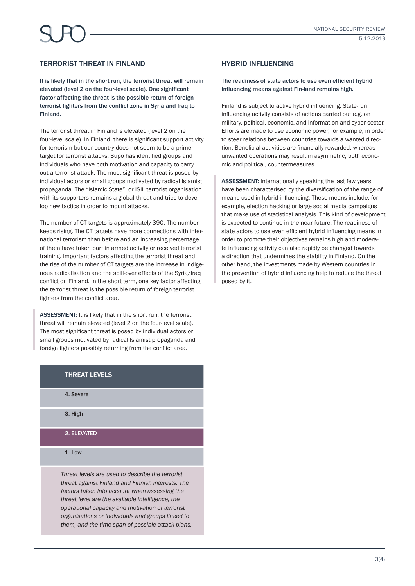## TERRORIST THREAT IN FINLAND

It is likely that in the short run, the terrorist threat will remain elevated (level 2 on the four-level scale). One significant factor affecting the threat is the possible return of foreign terrorist fighters from the conflict zone in Syria and Iraq to Finland.

The terrorist threat in Finland is elevated (level 2 on the four-level scale). In Finland, there is significant support activity for terrorism but our country does not seem to be a prime target for terrorist attacks. Supo has identified groups and individuals who have both motivation and capacity to carry out a terrorist attack. The most significant threat is posed by individual actors or small groups motivated by radical Islamist propaganda. The "Islamic State", or ISIL terrorist organisation with its supporters remains a global threat and tries to develop new tactics in order to mount attacks.

The number of CT targets is approximately 390. The number keeps rising. The CT targets have more connections with international terrorism than before and an increasing percentage of them have taken part in armed activity or received terrorist training. Important factors affecting the terrorist threat and the rise of the number of CT targets are the increase in indigenous radicalisation and the spill-over effects of the Syria/Iraq conflict on Finland. In the short term, one key factor affecting the terrorist threat is the possible return of foreign terrorist fighters from the conflict area.

ASSESSMENT: It is likely that in the short run, the terrorist threat will remain elevated (level 2 on the four-level scale). The most significant threat is posed by individual actors or small groups motivated by radical Islamist propaganda and foreign fighters possibly returning from the conflict area.

## THREAT LEVELS

4. Severe

3. High

2. ELEVATED

1. Low

*Threat levels are used to describe the terrorist threat against Finland and Finnish interests. The factors taken into account when assessing the threat level are the available intelligence, the operational capacity and motivation of terrorist organisations or individuals and groups linked to them, and the time span of possible attack plans.*

## HYBRID INFLUENCING

#### The readiness of state actors to use even efficient hybrid influencing means against Fin-land remains high.

Finland is subject to active hybrid influencing. State-run influencing activity consists of actions carried out e.g. on military, political, economic, and information and cyber sector. Efforts are made to use economic power, for example, in order to steer relations between countries towards a wanted direction. Beneficial activities are financially rewarded, whereas unwanted operations may result in asymmetric, both economic and political, countermeasures.

ASSESSMENT: Internationally speaking the last few years have been characterised by the diversification of the range of means used in hybrid influencing. These means include, for example, election hacking or large social media campaigns that make use of statistical analysis. This kind of development is expected to continue in the near future. The readiness of state actors to use even efficient hybrid influencing means in order to promote their objectives remains high and moderate influencing activity can also rapidly be changed towards a direction that undermines the stability in Finland. On the other hand, the investments made by Western countries in the prevention of hybrid influencing help to reduce the threat posed by it.